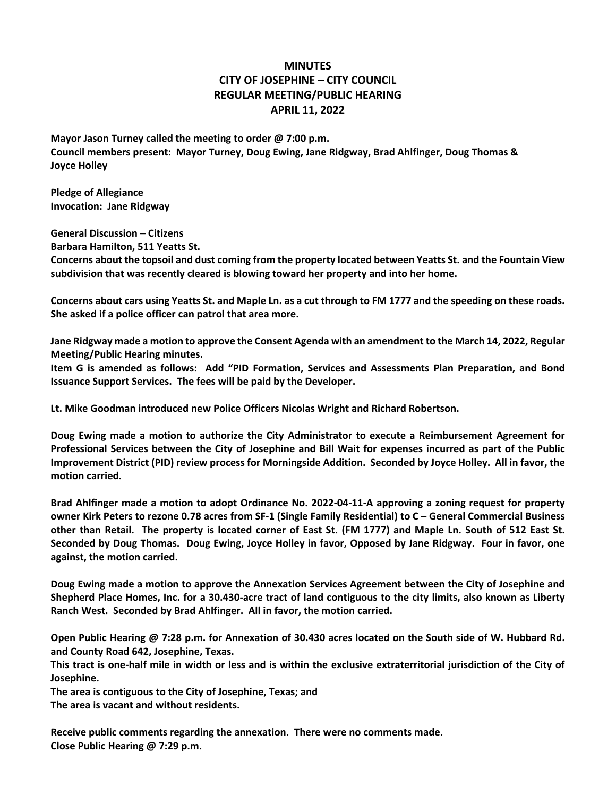## **MINUTES CITY OF JOSEPHINE – CITY COUNCIL REGULAR MEETING/PUBLIC HEARING APRIL 11, 2022**

**Mayor Jason Turney called the meeting to order @ 7:00 p.m. Council members present: Mayor Turney, Doug Ewing, Jane Ridgway, Brad Ahlfinger, Doug Thomas & Joyce Holley**

**Pledge of Allegiance Invocation: Jane Ridgway**

**General Discussion – Citizens Barbara Hamilton, 511 Yeatts St. Concerns about the topsoil and dust coming from the property located between Yeatts St. and the Fountain View subdivision that was recently cleared is blowing toward her property and into her home.**

**Concerns about cars using Yeatts St. and Maple Ln. as a cut through to FM 1777 and the speeding on these roads. She asked if a police officer can patrol that area more.**

**Jane Ridgway made a motion to approve the Consent Agenda with an amendment to the March 14, 2022, Regular Meeting/Public Hearing minutes.**

**Item G is amended as follows: Add "PID Formation, Services and Assessments Plan Preparation, and Bond Issuance Support Services. The fees will be paid by the Developer.**

**Lt. Mike Goodman introduced new Police Officers Nicolas Wright and Richard Robertson.**

**Doug Ewing made a motion to authorize the City Administrator to execute a Reimbursement Agreement for Professional Services between the City of Josephine and Bill Wait for expenses incurred as part of the Public Improvement District (PID) review process for Morningside Addition. Seconded by Joyce Holley. All in favor, the motion carried.**

**Brad Ahlfinger made a motion to adopt Ordinance No. 2022-04-11-A approving a zoning request for property owner Kirk Peters to rezone 0.78 acres from SF-1 (Single Family Residential) to C – General Commercial Business other than Retail. The property is located corner of East St. (FM 1777) and Maple Ln. South of 512 East St. Seconded by Doug Thomas. Doug Ewing, Joyce Holley in favor, Opposed by Jane Ridgway. Four in favor, one against, the motion carried.**

**Doug Ewing made a motion to approve the Annexation Services Agreement between the City of Josephine and Shepherd Place Homes, Inc. for a 30.430-acre tract of land contiguous to the city limits, also known as Liberty Ranch West. Seconded by Brad Ahlfinger. All in favor, the motion carried.**

**Open Public Hearing @ 7:28 p.m. for Annexation of 30.430 acres located on the South side of W. Hubbard Rd. and County Road 642, Josephine, Texas.**

**This tract is one-half mile in width or less and is within the exclusive extraterritorial jurisdiction of the City of Josephine.**

**The area is contiguous to the City of Josephine, Texas; and**

**The area is vacant and without residents.**

**Receive public comments regarding the annexation. There were no comments made. Close Public Hearing @ 7:29 p.m.**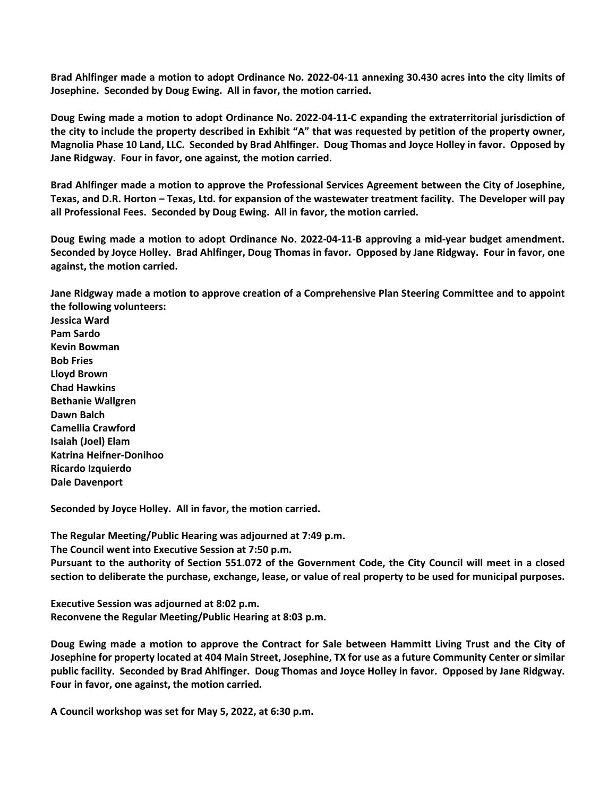**Brad Ahlfinger made a motion to adopt Ordinance No. 2022-04-11 annexing 30.430 acres into the city limits of Josephine. Seconded by Doug Ewing. All in favor, the motion carried.**

**Doug Ewing made a motion to adopt Ordinance No. 2022-04-11-C expanding the extraterritorial jurisdiction of the city to include the property described in Exhibit "A" that was requested by petition of the property owner, Magnolia Phase 10 Land, LLC. Seconded by Brad Ahlfinger. Doug Thomas and Joyce Holley in favor. Opposed by Jane Ridgway. Four in favor, one against, the motion carried.**

**Brad Ahlfinger made a motion to approve the Professional Services Agreement between the City of Josephine, Texas, and D.R. Horton – Texas, Ltd. for expansion of the wastewater treatment facility. The Developer will pay all Professional Fees. Seconded by Doug Ewing. All in favor, the motion carried.**

**Doug Ewing made a motion to adopt Ordinance No. 2022-04-11-B approving a mid-year budget amendment. Seconded by Joyce Holley. Brad Ahlfinger, Doug Thomas in favor. Opposed by Jane Ridgway. Four in favor, one against, the motion carried.**

**Jane Ridgway made a motion to approve creation of a Comprehensive Plan Steering Committee and to appoint the following volunteers:**

**Jessica Ward Pam Sardo Kevin Bowman Bob Fries Lloyd Brown Chad Hawkins Bethanie Wallgren Dawn Balch Camellia Crawford Isaiah (Joel) Elam Katrina Heifner-Donihoo Ricardo Izquierdo Dale Davenport**

**Seconded by Joyce Holley. All in favor, the motion carried.**

**The Regular Meeting/Public Hearing was adjourned at 7:49 p.m.**

**The Council went into Executive Session at 7:50 p.m.**

**Pursuant to the authority of Section 551.072 of the Government Code, the City Council will meet in a closed section to deliberate the purchase, exchange, lease, or value of real property to be used for municipal purposes.**

**Executive Session was adjourned at 8:02 p.m. Reconvene the Regular Meeting/Public Hearing at 8:03 p.m.**

**Doug Ewing made a motion to approve the Contract for Sale between Hammitt Living Trust and the City of Josephine for property located at 404 Main Street, Josephine, TX for use as a future Community Center or similar public facility. Seconded by Brad Ahlfinger. Doug Thomas and Joyce Holley in favor. Opposed by Jane Ridgway. Four in favor, one against, the motion carried.** 

**A Council workshop was set for May 5, 2022, at 6:30 p.m.**